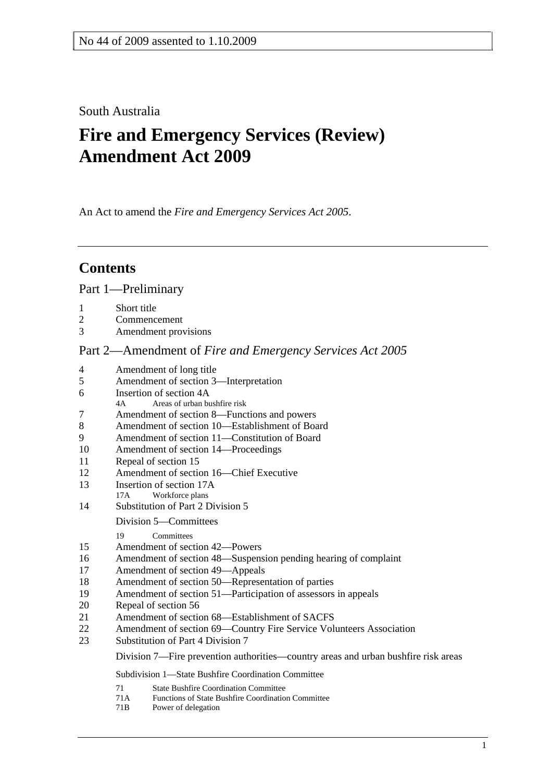## South Australia

# **Fire and Emergency Services (Review) Amendment Act 2009**

An Act to amend the *Fire and Emergency Services Act 2005*.

## **Contents**

Part 1—Preliminary

- 1 Short title
- 2 Commencement
- 3 Amendment provisions

## Part 2—Amendment of *Fire and Emergency Services Act 2005*

| 4  | Amendment of long title                                                            |  |  |
|----|------------------------------------------------------------------------------------|--|--|
| 5  | Amendment of section 3—Interpretation                                              |  |  |
| 6  | Insertion of section 4A                                                            |  |  |
|    | Areas of urban bushfire risk<br>4A                                                 |  |  |
| 7  | Amendment of section 8—Functions and powers                                        |  |  |
| 8  | Amendment of section 10—Establishment of Board                                     |  |  |
| 9  | Amendment of section 11—Constitution of Board                                      |  |  |
| 10 | Amendment of section 14—Proceedings                                                |  |  |
| 11 | Repeal of section 15                                                               |  |  |
| 12 | Amendment of section 16—Chief Executive                                            |  |  |
| 13 | Insertion of section 17A                                                           |  |  |
|    | Workforce plans<br>17A                                                             |  |  |
| 14 | Substitution of Part 2 Division 5                                                  |  |  |
|    | Division 5—Committees                                                              |  |  |
|    | 19<br>Committees                                                                   |  |  |
| 15 | Amendment of section 42-Powers                                                     |  |  |
| 16 | Amendment of section 48—Suspension pending hearing of complaint                    |  |  |
| 17 | Amendment of section 49—Appeals                                                    |  |  |
| 18 | Amendment of section 50—Representation of parties                                  |  |  |
| 19 | Amendment of section 51-Participation of assessors in appeals                      |  |  |
| 20 | Repeal of section 56                                                               |  |  |
| 21 | Amendment of section 68—Establishment of SACFS                                     |  |  |
| 22 | Amendment of section 69—Country Fire Service Volunteers Association                |  |  |
| 23 | Substitution of Part 4 Division 7                                                  |  |  |
|    | Division 7—Fire prevention authorities—country areas and urban bushfire risk areas |  |  |
|    | Subdivision 1—State Bushfire Coordination Committee                                |  |  |
|    | 71<br><b>State Bushfire Coordination Committee</b>                                 |  |  |
|    | 71A<br>Functions of State Bushfire Coordination Committee                          |  |  |
|    | 71 <sub>B</sub><br>Power of delegation                                             |  |  |
|    |                                                                                    |  |  |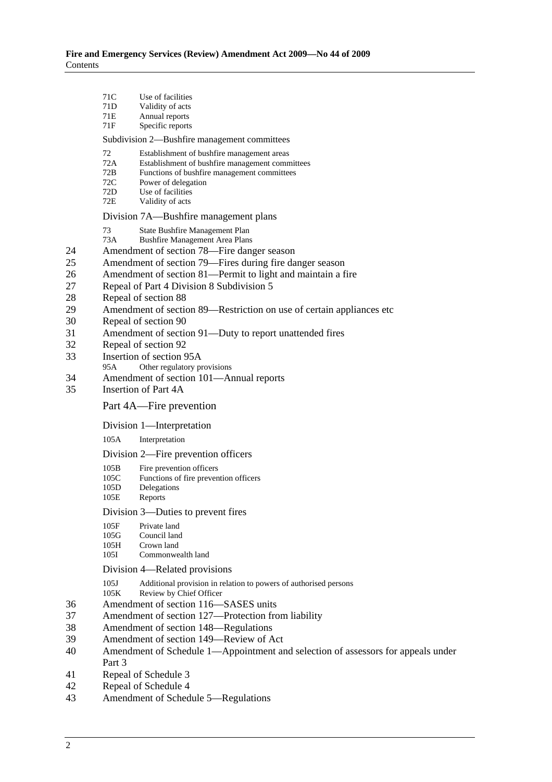|                                                                      | 71C<br>71D<br>71E<br>71F                                                                                                                                                                                                                                                                                                                                                                                                                                                                                                                                                                                                                                         | Use of facilities<br>Validity of acts<br>Annual reports<br>Specific reports                                                                                                                                  |  |  |
|----------------------------------------------------------------------|------------------------------------------------------------------------------------------------------------------------------------------------------------------------------------------------------------------------------------------------------------------------------------------------------------------------------------------------------------------------------------------------------------------------------------------------------------------------------------------------------------------------------------------------------------------------------------------------------------------------------------------------------------------|--------------------------------------------------------------------------------------------------------------------------------------------------------------------------------------------------------------|--|--|
|                                                                      | Subdivision 2—Bushfire management committees                                                                                                                                                                                                                                                                                                                                                                                                                                                                                                                                                                                                                     |                                                                                                                                                                                                              |  |  |
|                                                                      | 72<br>72A<br>72B<br>72C<br>72D<br>72E                                                                                                                                                                                                                                                                                                                                                                                                                                                                                                                                                                                                                            | Establishment of bushfire management areas<br>Establishment of bushfire management committees<br>Functions of bushfire management committees<br>Power of delegation<br>Use of facilities<br>Validity of acts |  |  |
|                                                                      |                                                                                                                                                                                                                                                                                                                                                                                                                                                                                                                                                                                                                                                                  | Division 7A—Bushfire management plans                                                                                                                                                                        |  |  |
| 24<br>25<br>26<br>27<br>28<br>29<br>30<br>31<br>32<br>33<br>34<br>35 | 73<br>State Bushfire Management Plan<br>73A<br><b>Bushfire Management Area Plans</b><br>Amendment of section 78—Fire danger season<br>Amendment of section 79—Fires during fire danger season<br>Amendment of section 81-Permit to light and maintain a fire<br>Repeal of Part 4 Division 8 Subdivision 5<br>Repeal of section 88<br>Amendment of section 89—Restriction on use of certain appliances etc<br>Repeal of section 90<br>Amendment of section 91—Duty to report unattended fires<br>Repeal of section 92<br>Insertion of section 95A<br>95A<br>Other regulatory provisions<br>Amendment of section 101—Annual reports<br><b>Insertion of Part 4A</b> |                                                                                                                                                                                                              |  |  |
|                                                                      |                                                                                                                                                                                                                                                                                                                                                                                                                                                                                                                                                                                                                                                                  | Part 4A—Fire prevention                                                                                                                                                                                      |  |  |
|                                                                      |                                                                                                                                                                                                                                                                                                                                                                                                                                                                                                                                                                                                                                                                  | Division 1—Interpretation                                                                                                                                                                                    |  |  |
|                                                                      | 105A                                                                                                                                                                                                                                                                                                                                                                                                                                                                                                                                                                                                                                                             | Interpretation                                                                                                                                                                                               |  |  |
|                                                                      |                                                                                                                                                                                                                                                                                                                                                                                                                                                                                                                                                                                                                                                                  | Division 2—Fire prevention officers                                                                                                                                                                          |  |  |
|                                                                      | 105B<br>105C<br>105D<br>105E                                                                                                                                                                                                                                                                                                                                                                                                                                                                                                                                                                                                                                     | Fire prevention officers<br>Functions of fire prevention officers<br>Delegations<br>Reports                                                                                                                  |  |  |
| 36                                                                   |                                                                                                                                                                                                                                                                                                                                                                                                                                                                                                                                                                                                                                                                  | Division 3—Duties to prevent fires                                                                                                                                                                           |  |  |
|                                                                      | 105F<br>105G<br>105H<br>105I                                                                                                                                                                                                                                                                                                                                                                                                                                                                                                                                                                                                                                     | Private land<br>Council land<br>Crown land<br>Commonwealth land                                                                                                                                              |  |  |
|                                                                      |                                                                                                                                                                                                                                                                                                                                                                                                                                                                                                                                                                                                                                                                  | Division 4-Related provisions                                                                                                                                                                                |  |  |
|                                                                      | Additional provision in relation to powers of authorised persons<br>105J<br>Review by Chief Officer<br>105K<br>Amendment of section 116–SASES units                                                                                                                                                                                                                                                                                                                                                                                                                                                                                                              |                                                                                                                                                                                                              |  |  |
| 37<br>38                                                             | Amendment of section 127—Protection from liability<br>Amendment of section 148—Regulations<br>Amendment of section 149—Review of Act                                                                                                                                                                                                                                                                                                                                                                                                                                                                                                                             |                                                                                                                                                                                                              |  |  |
| 39                                                                   |                                                                                                                                                                                                                                                                                                                                                                                                                                                                                                                                                                                                                                                                  |                                                                                                                                                                                                              |  |  |
| 40                                                                   | Amendment of Schedule 1—Appointment and selection of assessors for appeals under<br>Part 3                                                                                                                                                                                                                                                                                                                                                                                                                                                                                                                                                                       |                                                                                                                                                                                                              |  |  |
| 41                                                                   | Repeal of Schedule 3                                                                                                                                                                                                                                                                                                                                                                                                                                                                                                                                                                                                                                             |                                                                                                                                                                                                              |  |  |
| 42<br>43                                                             | Repeal of Schedule 4<br>Amendment of Schedule 5-Regulations                                                                                                                                                                                                                                                                                                                                                                                                                                                                                                                                                                                                      |                                                                                                                                                                                                              |  |  |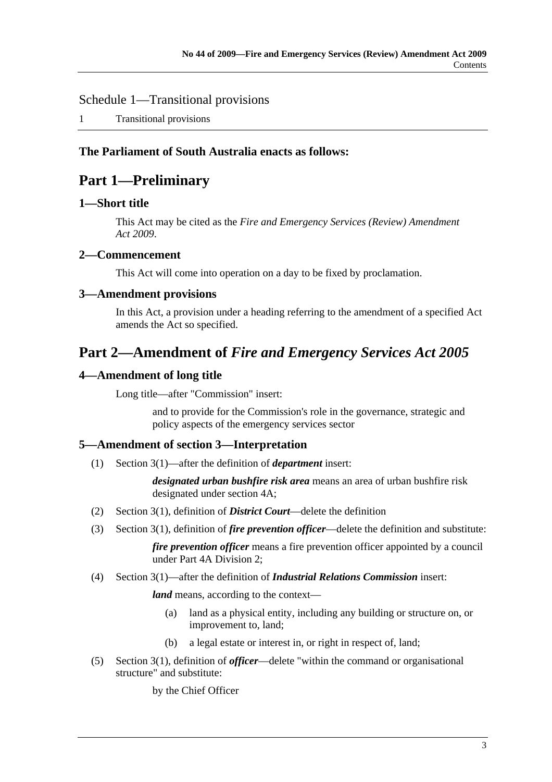Schedule 1—Transitional provisions

1 Transitional provisions

## **The Parliament of South Australia enacts as follows:**

## **Part 1—Preliminary**

## **1—Short title**

This Act may be cited as the *Fire and Emergency Services (Review) Amendment Act 2009*.

## **2—Commencement**

This Act will come into operation on a day to be fixed by proclamation.

## **3—Amendment provisions**

In this Act, a provision under a heading referring to the amendment of a specified Act amends the Act so specified.

## **Part 2—Amendment of** *Fire and Emergency Services Act 2005*

## **4—Amendment of long title**

Long title—after "Commission" insert:

and to provide for the Commission's role in the governance, strategic and policy aspects of the emergency services sector

## **5—Amendment of section 3—Interpretation**

(1) Section 3(1)—after the definition of *department* insert:

*designated urban bushfire risk area* means an area of urban bushfire risk designated under section 4A;

- (2) Section 3(1), definition of *District Court*—delete the definition
- (3) Section 3(1), definition of *fire prevention officer*—delete the definition and substitute:

*fire prevention officer* means a fire prevention officer appointed by a council under Part 4A Division 2;

#### (4) Section 3(1)—after the definition of *Industrial Relations Commission* insert:

*land* means, according to the context—

- (a) land as a physical entity, including any building or structure on, or improvement to, land;
- (b) a legal estate or interest in, or right in respect of, land;
- (5) Section 3(1), definition of *officer*—delete "within the command or organisational structure" and substitute:

by the Chief Officer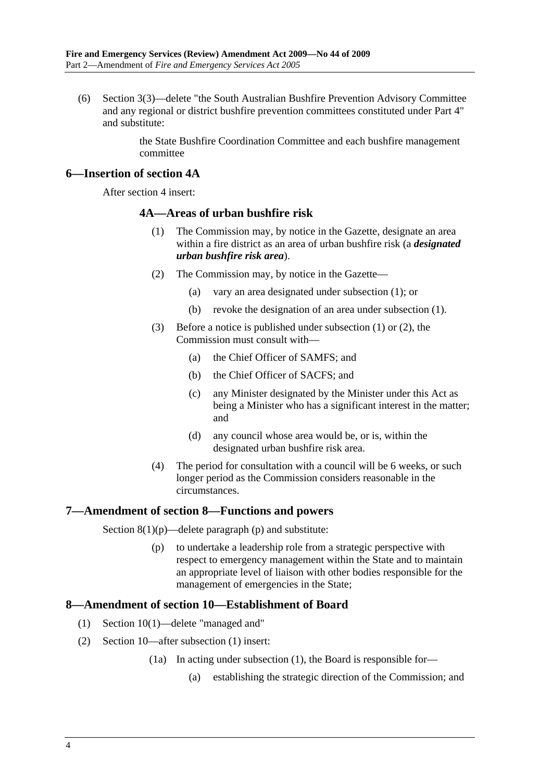(6) Section 3(3)—delete "the South Australian Bushfire Prevention Advisory Committee and any regional or district bushfire prevention committees constituted under Part 4" and substitute:

> the State Bushfire Coordination Committee and each bushfire management committee

#### **6—Insertion of section 4A**

After section 4 insert:

#### **4A—Areas of urban bushfire risk**

- (1) The Commission may, by notice in the Gazette, designate an area within a fire district as an area of urban bushfire risk (a *designated urban bushfire risk area*).
- (2) The Commission may, by notice in the Gazette—
	- (a) vary an area designated under subsection (1); or
	- (b) revoke the designation of an area under subsection (1).
- (3) Before a notice is published under subsection (1) or (2), the Commission must consult with—
	- (a) the Chief Officer of SAMFS; and
	- (b) the Chief Officer of SACFS; and
	- (c) any Minister designated by the Minister under this Act as being a Minister who has a significant interest in the matter; and
	- (d) any council whose area would be, or is, within the designated urban bushfire risk area.
- (4) The period for consultation with a council will be 6 weeks, or such longer period as the Commission considers reasonable in the circumstances.

## **7—Amendment of section 8—Functions and powers**

Section  $8(1)(p)$ —delete paragraph (p) and substitute:

 (p) to undertake a leadership role from a strategic perspective with respect to emergency management within the State and to maintain an appropriate level of liaison with other bodies responsible for the management of emergencies in the State;

## **8—Amendment of section 10—Establishment of Board**

- (1) Section 10(1)—delete "managed and"
- (2) Section 10—after subsection (1) insert:
	- (1a) In acting under subsection (1), the Board is responsible for—
		- (a) establishing the strategic direction of the Commission; and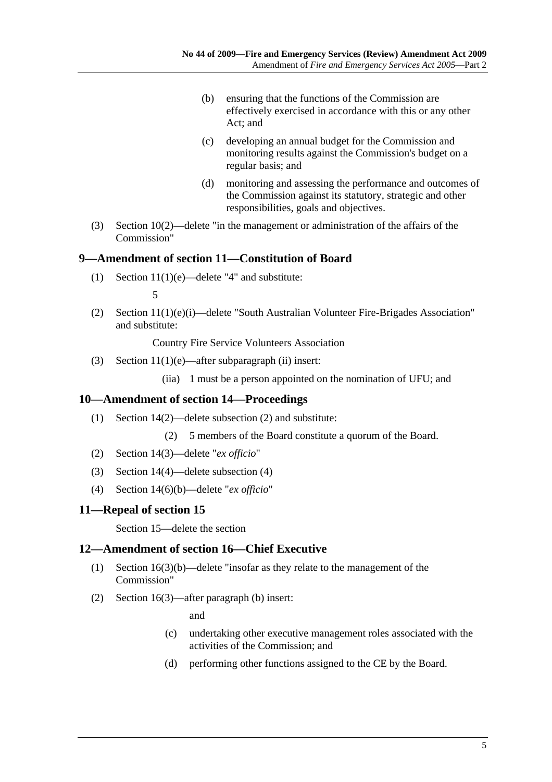- (b) ensuring that the functions of the Commission are effectively exercised in accordance with this or any other Act; and
- (c) developing an annual budget for the Commission and monitoring results against the Commission's budget on a regular basis; and
- (d) monitoring and assessing the performance and outcomes of the Commission against its statutory, strategic and other responsibilities, goals and objectives.
- (3) Section 10(2)—delete "in the management or administration of the affairs of the Commission"

### **9—Amendment of section 11—Constitution of Board**

(1) Section  $11(1)(e)$ —delete "4" and substitute:

5

 (2) Section 11(1)(e)(i)—delete "South Australian Volunteer Fire-Brigades Association" and substitute:

Country Fire Service Volunteers Association

(3) Section  $11(1)(e)$ —after subparagraph (ii) insert:

(iia) 1 must be a person appointed on the nomination of UFU; and

#### **10—Amendment of section 14—Proceedings**

- (1) Section 14(2)—delete subsection (2) and substitute:
	- (2) 5 members of the Board constitute a quorum of the Board.
- (2) Section 14(3)—delete "*ex officio*"
- (3) Section 14(4)—delete subsection (4)
- (4) Section 14(6)(b)—delete "*ex officio*"

#### **11—Repeal of section 15**

Section 15—delete the section

## **12—Amendment of section 16—Chief Executive**

- (1) Section 16(3)(b)—delete "insofar as they relate to the management of the Commission"
- (2) Section 16(3)—after paragraph (b) insert:

and

- (c) undertaking other executive management roles associated with the activities of the Commission; and
- (d) performing other functions assigned to the CE by the Board.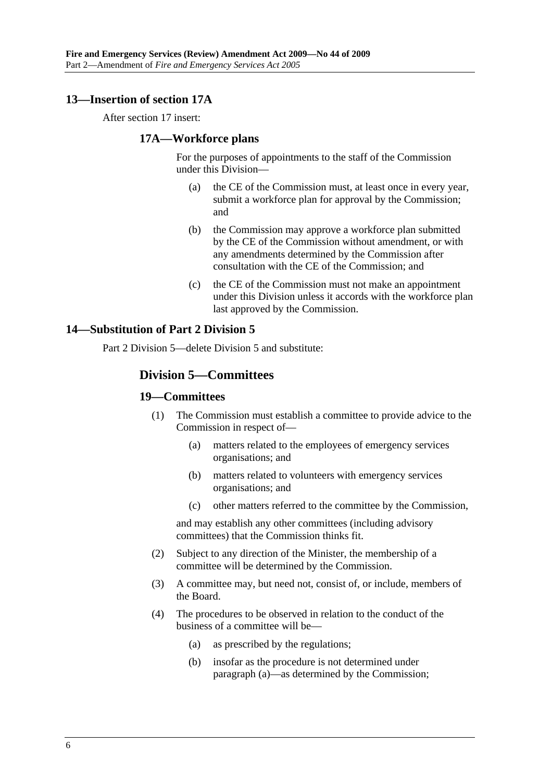## **13—Insertion of section 17A**

After section 17 insert:

#### **17A—Workforce plans**

For the purposes of appointments to the staff of the Commission under this Division—

- (a) the CE of the Commission must, at least once in every year, submit a workforce plan for approval by the Commission; and
- (b) the Commission may approve a workforce plan submitted by the CE of the Commission without amendment, or with any amendments determined by the Commission after consultation with the CE of the Commission; and
- (c) the CE of the Commission must not make an appointment under this Division unless it accords with the workforce plan last approved by the Commission.

### **14—Substitution of Part 2 Division 5**

Part 2 Division 5—delete Division 5 and substitute:

## **Division 5—Committees**

#### **19—Committees**

- (1) The Commission must establish a committee to provide advice to the Commission in respect of—
	- (a) matters related to the employees of emergency services organisations; and
	- (b) matters related to volunteers with emergency services organisations; and
	- (c) other matters referred to the committee by the Commission,

and may establish any other committees (including advisory committees) that the Commission thinks fit.

- (2) Subject to any direction of the Minister, the membership of a committee will be determined by the Commission.
- (3) A committee may, but need not, consist of, or include, members of the Board.
- (4) The procedures to be observed in relation to the conduct of the business of a committee will be—
	- (a) as prescribed by the regulations;
	- (b) insofar as the procedure is not determined under paragraph (a)—as determined by the Commission;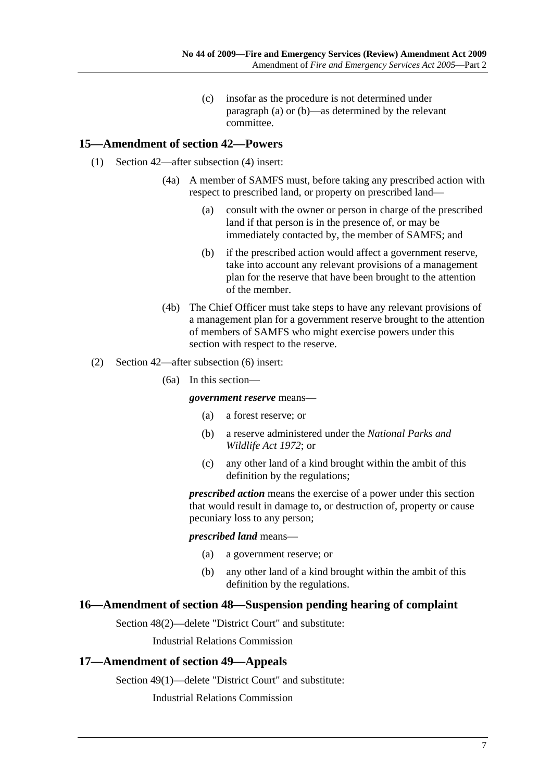(c) insofar as the procedure is not determined under paragraph (a) or (b)—as determined by the relevant committee.

## **15—Amendment of section 42—Powers**

- (1) Section 42—after subsection (4) insert:
	- (4a) A member of SAMFS must, before taking any prescribed action with respect to prescribed land, or property on prescribed land—
		- (a) consult with the owner or person in charge of the prescribed land if that person is in the presence of, or may be immediately contacted by, the member of SAMFS; and
		- (b) if the prescribed action would affect a government reserve, take into account any relevant provisions of a management plan for the reserve that have been brought to the attention of the member.
	- (4b) The Chief Officer must take steps to have any relevant provisions of a management plan for a government reserve brought to the attention of members of SAMFS who might exercise powers under this section with respect to the reserve.
- (2) Section 42—after subsection (6) insert:
	- (6a) In this section—

#### *government reserve* means—

- (a) a forest reserve; or
- (b) a reserve administered under the *National Parks and Wildlife Act 1972*; or
- (c) any other land of a kind brought within the ambit of this definition by the regulations;

*prescribed action* means the exercise of a power under this section that would result in damage to, or destruction of, property or cause pecuniary loss to any person;

#### *prescribed land* means—

- (a) a government reserve; or
- (b) any other land of a kind brought within the ambit of this definition by the regulations.

## **16—Amendment of section 48—Suspension pending hearing of complaint**

Section 48(2)—delete "District Court" and substitute:

Industrial Relations Commission

#### **17—Amendment of section 49—Appeals**

Section 49(1)—delete "District Court" and substitute:

Industrial Relations Commission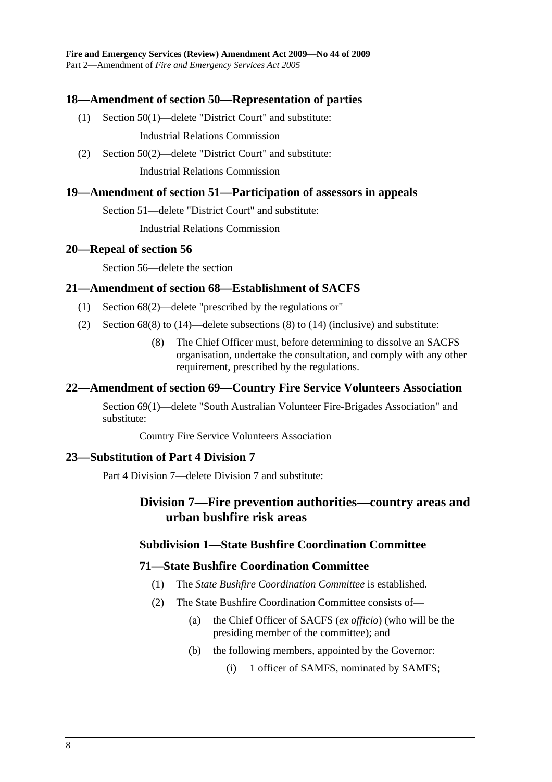## **18—Amendment of section 50—Representation of parties**

(1) Section 50(1)—delete "District Court" and substitute:

Industrial Relations Commission

 (2) Section 50(2)—delete "District Court" and substitute: Industrial Relations Commission

#### **19—Amendment of section 51—Participation of assessors in appeals**

Section 51—delete "District Court" and substitute:

Industrial Relations Commission

#### **20—Repeal of section 56**

Section 56—delete the section

### **21—Amendment of section 68—Establishment of SACFS**

- (1) Section 68(2)—delete "prescribed by the regulations or"
- (2) Section 68(8) to (14)—delete subsections (8) to (14) (inclusive) and substitute:
	- (8) The Chief Officer must, before determining to dissolve an SACFS organisation, undertake the consultation, and comply with any other requirement, prescribed by the regulations.

## **22—Amendment of section 69—Country Fire Service Volunteers Association**

Section 69(1)—delete "South Australian Volunteer Fire-Brigades Association" and substitute:

Country Fire Service Volunteers Association

#### **23—Substitution of Part 4 Division 7**

Part 4 Division 7—delete Division 7 and substitute:

## **Division 7—Fire prevention authorities—country areas and urban bushfire risk areas**

## **Subdivision 1—State Bushfire Coordination Committee**

#### **71—State Bushfire Coordination Committee**

- (1) The *State Bushfire Coordination Committee* is established.
- (2) The State Bushfire Coordination Committee consists of—
	- (a) the Chief Officer of SACFS (*ex officio*) (who will be the presiding member of the committee); and
	- (b) the following members, appointed by the Governor:
		- (i) 1 officer of SAMFS, nominated by SAMFS;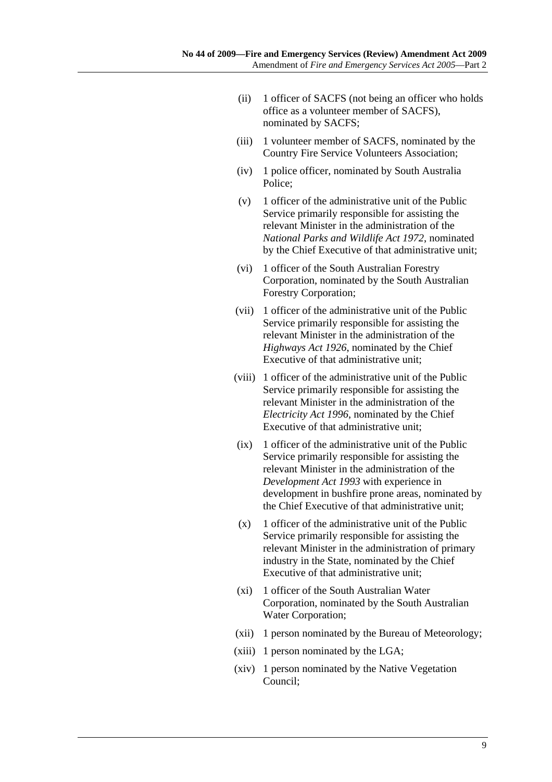- (ii) 1 officer of SACFS (not being an officer who holds office as a volunteer member of SACFS), nominated by SACFS;
- (iii) 1 volunteer member of SACFS, nominated by the Country Fire Service Volunteers Association;
- (iv) 1 police officer, nominated by South Australia Police;
- (v) 1 officer of the administrative unit of the Public Service primarily responsible for assisting the relevant Minister in the administration of the *National Parks and Wildlife Act 1972*, nominated by the Chief Executive of that administrative unit;
- (vi) 1 officer of the South Australian Forestry Corporation, nominated by the South Australian Forestry Corporation;
- (vii) 1 officer of the administrative unit of the Public Service primarily responsible for assisting the relevant Minister in the administration of the *Highways Act 1926*, nominated by the Chief Executive of that administrative unit;
- (viii) 1 officer of the administrative unit of the Public Service primarily responsible for assisting the relevant Minister in the administration of the *Electricity Act 1996*, nominated by the Chief Executive of that administrative unit;
- (ix) 1 officer of the administrative unit of the Public Service primarily responsible for assisting the relevant Minister in the administration of the *Development Act 1993* with experience in development in bushfire prone areas, nominated by the Chief Executive of that administrative unit;
- $(x)$  1 officer of the administrative unit of the Public Service primarily responsible for assisting the relevant Minister in the administration of primary industry in the State, nominated by the Chief Executive of that administrative unit;
- (xi) 1 officer of the South Australian Water Corporation, nominated by the South Australian Water Corporation;
- (xii) 1 person nominated by the Bureau of Meteorology;
- (xiii) 1 person nominated by the LGA;
- (xiv) 1 person nominated by the Native Vegetation Council;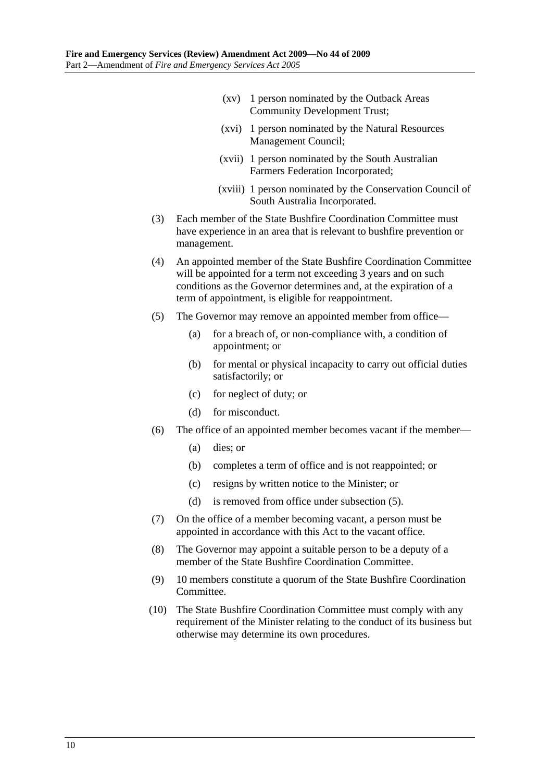- (xv) 1 person nominated by the Outback Areas Community Development Trust;
- (xvi) 1 person nominated by the Natural Resources Management Council;
- (xvii) 1 person nominated by the South Australian Farmers Federation Incorporated;
- (xviii) 1 person nominated by the Conservation Council of South Australia Incorporated.
- (3) Each member of the State Bushfire Coordination Committee must have experience in an area that is relevant to bushfire prevention or management.
- (4) An appointed member of the State Bushfire Coordination Committee will be appointed for a term not exceeding 3 years and on such conditions as the Governor determines and, at the expiration of a term of appointment, is eligible for reappointment.
- (5) The Governor may remove an appointed member from office—
	- (a) for a breach of, or non-compliance with, a condition of appointment; or
	- (b) for mental or physical incapacity to carry out official duties satisfactorily; or
	- (c) for neglect of duty; or
	- (d) for misconduct.
- (6) The office of an appointed member becomes vacant if the member—
	- (a) dies; or
	- (b) completes a term of office and is not reappointed; or
	- (c) resigns by written notice to the Minister; or
	- (d) is removed from office under subsection (5).
- (7) On the office of a member becoming vacant, a person must be appointed in accordance with this Act to the vacant office.
- (8) The Governor may appoint a suitable person to be a deputy of a member of the State Bushfire Coordination Committee.
- (9) 10 members constitute a quorum of the State Bushfire Coordination Committee.
- (10) The State Bushfire Coordination Committee must comply with any requirement of the Minister relating to the conduct of its business but otherwise may determine its own procedures.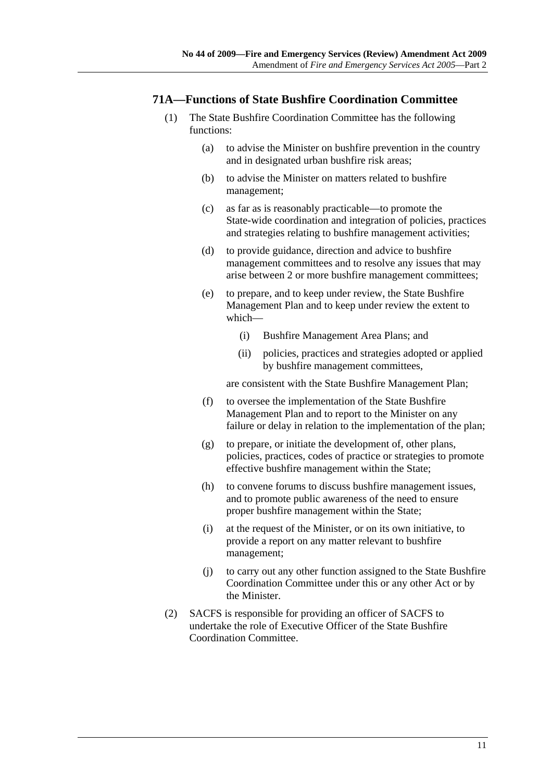### **71A—Functions of State Bushfire Coordination Committee**

- (1) The State Bushfire Coordination Committee has the following functions:
	- (a) to advise the Minister on bushfire prevention in the country and in designated urban bushfire risk areas;
	- (b) to advise the Minister on matters related to bushfire management;
	- (c) as far as is reasonably practicable—to promote the State-wide coordination and integration of policies, practices and strategies relating to bushfire management activities;
	- (d) to provide guidance, direction and advice to bushfire management committees and to resolve any issues that may arise between 2 or more bushfire management committees;
	- (e) to prepare, and to keep under review, the State Bushfire Management Plan and to keep under review the extent to which—
		- (i) Bushfire Management Area Plans; and
		- (ii) policies, practices and strategies adopted or applied by bushfire management committees,

are consistent with the State Bushfire Management Plan;

- (f) to oversee the implementation of the State Bushfire Management Plan and to report to the Minister on any failure or delay in relation to the implementation of the plan;
- (g) to prepare, or initiate the development of, other plans, policies, practices, codes of practice or strategies to promote effective bushfire management within the State;
- (h) to convene forums to discuss bushfire management issues, and to promote public awareness of the need to ensure proper bushfire management within the State;
- (i) at the request of the Minister, or on its own initiative, to provide a report on any matter relevant to bushfire management;
- (j) to carry out any other function assigned to the State Bushfire Coordination Committee under this or any other Act or by the Minister.
- (2) SACFS is responsible for providing an officer of SACFS to undertake the role of Executive Officer of the State Bushfire Coordination Committee.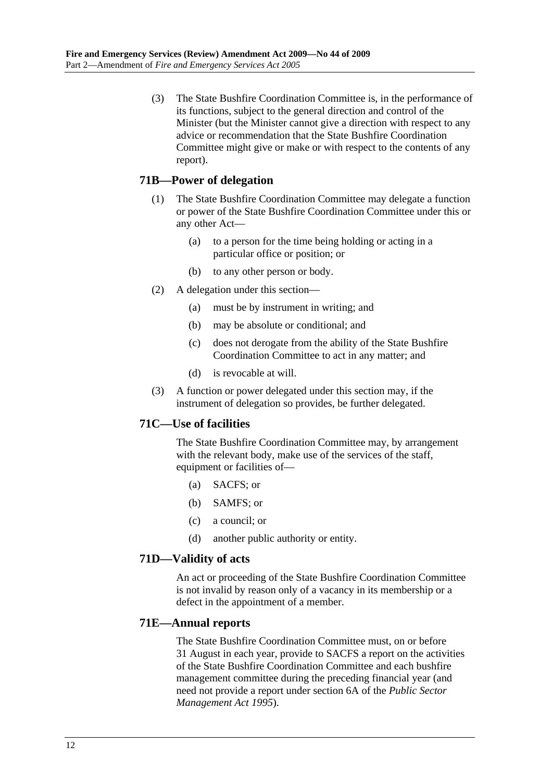(3) The State Bushfire Coordination Committee is, in the performance of its functions, subject to the general direction and control of the Minister (but the Minister cannot give a direction with respect to any advice or recommendation that the State Bushfire Coordination Committee might give or make or with respect to the contents of any report).

## **71B—Power of delegation**

- (1) The State Bushfire Coordination Committee may delegate a function or power of the State Bushfire Coordination Committee under this or any other Act—
	- (a) to a person for the time being holding or acting in a particular office or position; or
	- (b) to any other person or body.
- (2) A delegation under this section—
	- (a) must be by instrument in writing; and
	- (b) may be absolute or conditional; and
	- (c) does not derogate from the ability of the State Bushfire Coordination Committee to act in any matter; and
	- (d) is revocable at will.
- (3) A function or power delegated under this section may, if the instrument of delegation so provides, be further delegated.

## **71C—Use of facilities**

The State Bushfire Coordination Committee may, by arrangement with the relevant body, make use of the services of the staff, equipment or facilities of—

- (a) SACFS; or
- (b) SAMFS; or
- (c) a council; or
- (d) another public authority or entity.

#### **71D—Validity of acts**

An act or proceeding of the State Bushfire Coordination Committee is not invalid by reason only of a vacancy in its membership or a defect in the appointment of a member.

#### **71E—Annual reports**

The State Bushfire Coordination Committee must, on or before 31 August in each year, provide to SACFS a report on the activities of the State Bushfire Coordination Committee and each bushfire management committee during the preceding financial year (and need not provide a report under section 6A of the *Public Sector Management Act 1995*).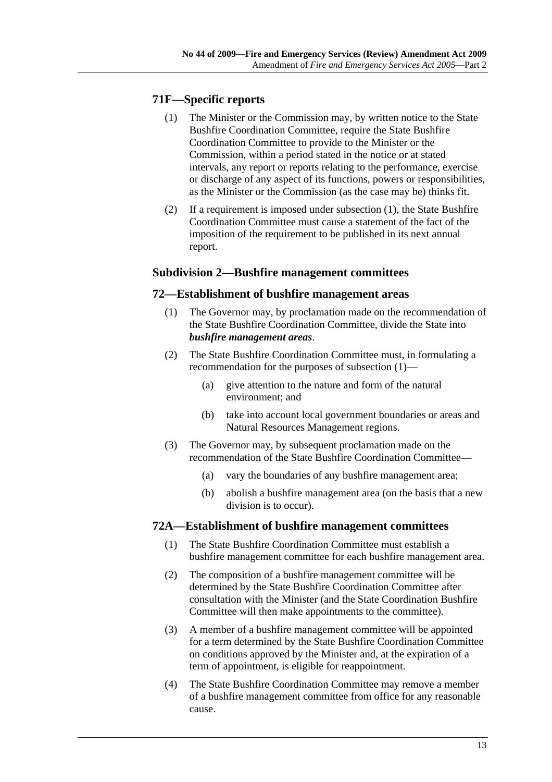## **71F—Specific reports**

- (1) The Minister or the Commission may, by written notice to the State Bushfire Coordination Committee, require the State Bushfire Coordination Committee to provide to the Minister or the Commission, within a period stated in the notice or at stated intervals, any report or reports relating to the performance, exercise or discharge of any aspect of its functions, powers or responsibilities, as the Minister or the Commission (as the case may be) thinks fit.
- (2) If a requirement is imposed under subsection (1), the State Bushfire Coordination Committee must cause a statement of the fact of the imposition of the requirement to be published in its next annual report.

### **Subdivision 2—Bushfire management committees**

#### **72—Establishment of bushfire management areas**

- (1) The Governor may, by proclamation made on the recommendation of the State Bushfire Coordination Committee, divide the State into *bushfire management areas*.
- (2) The State Bushfire Coordination Committee must, in formulating a recommendation for the purposes of subsection (1)—
	- (a) give attention to the nature and form of the natural environment; and
	- (b) take into account local government boundaries or areas and Natural Resources Management regions.
- (3) The Governor may, by subsequent proclamation made on the recommendation of the State Bushfire Coordination Committee—
	- (a) vary the boundaries of any bushfire management area;
	- (b) abolish a bushfire management area (on the basis that a new division is to occur).

#### **72A—Establishment of bushfire management committees**

- (1) The State Bushfire Coordination Committee must establish a bushfire management committee for each bushfire management area.
- (2) The composition of a bushfire management committee will be determined by the State Bushfire Coordination Committee after consultation with the Minister (and the State Coordination Bushfire Committee will then make appointments to the committee).
- (3) A member of a bushfire management committee will be appointed for a term determined by the State Bushfire Coordination Committee on conditions approved by the Minister and, at the expiration of a term of appointment, is eligible for reappointment.
- (4) The State Bushfire Coordination Committee may remove a member of a bushfire management committee from office for any reasonable cause.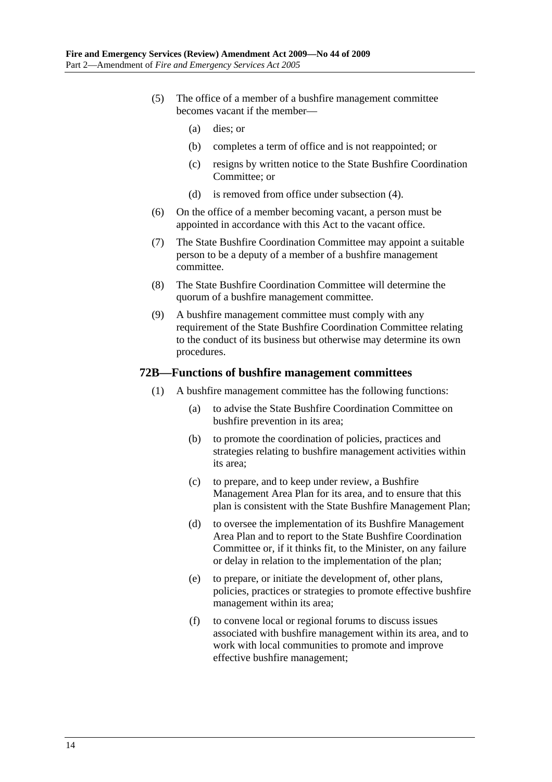- (5) The office of a member of a bushfire management committee becomes vacant if the member—
	- (a) dies; or
	- (b) completes a term of office and is not reappointed; or
	- (c) resigns by written notice to the State Bushfire Coordination Committee; or
	- (d) is removed from office under subsection (4).
- (6) On the office of a member becoming vacant, a person must be appointed in accordance with this Act to the vacant office.
- (7) The State Bushfire Coordination Committee may appoint a suitable person to be a deputy of a member of a bushfire management committee.
- (8) The State Bushfire Coordination Committee will determine the quorum of a bushfire management committee.
- (9) A bushfire management committee must comply with any requirement of the State Bushfire Coordination Committee relating to the conduct of its business but otherwise may determine its own procedures.

#### **72B—Functions of bushfire management committees**

- (1) A bushfire management committee has the following functions:
	- (a) to advise the State Bushfire Coordination Committee on bushfire prevention in its area;
	- (b) to promote the coordination of policies, practices and strategies relating to bushfire management activities within its area;
	- (c) to prepare, and to keep under review, a Bushfire Management Area Plan for its area, and to ensure that this plan is consistent with the State Bushfire Management Plan;
	- (d) to oversee the implementation of its Bushfire Management Area Plan and to report to the State Bushfire Coordination Committee or, if it thinks fit, to the Minister, on any failure or delay in relation to the implementation of the plan;
	- (e) to prepare, or initiate the development of, other plans, policies, practices or strategies to promote effective bushfire management within its area;
	- (f) to convene local or regional forums to discuss issues associated with bushfire management within its area, and to work with local communities to promote and improve effective bushfire management;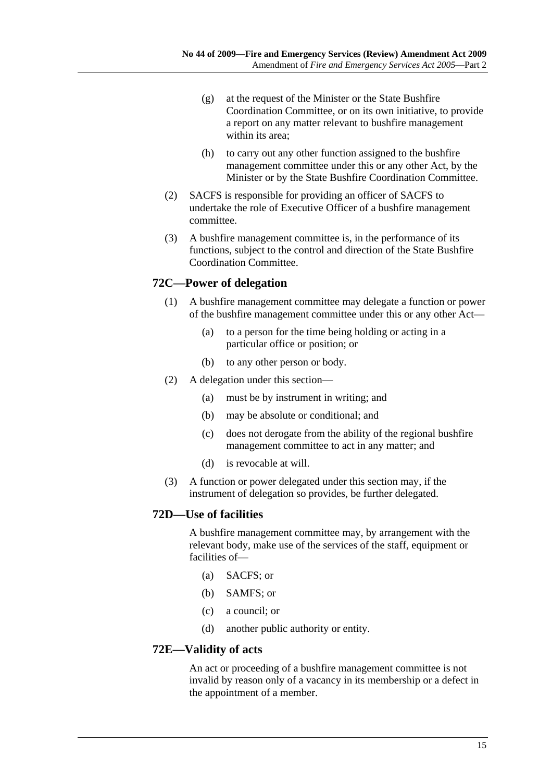- (g) at the request of the Minister or the State Bushfire Coordination Committee, or on its own initiative, to provide a report on any matter relevant to bushfire management within its area;
- (h) to carry out any other function assigned to the bushfire management committee under this or any other Act, by the Minister or by the State Bushfire Coordination Committee.
- (2) SACFS is responsible for providing an officer of SACFS to undertake the role of Executive Officer of a bushfire management committee.
- (3) A bushfire management committee is, in the performance of its functions, subject to the control and direction of the State Bushfire Coordination Committee.

### **72C—Power of delegation**

- (1) A bushfire management committee may delegate a function or power of the bushfire management committee under this or any other Act—
	- (a) to a person for the time being holding or acting in a particular office or position; or
	- (b) to any other person or body.
- (2) A delegation under this section—
	- (a) must be by instrument in writing; and
	- (b) may be absolute or conditional; and
	- (c) does not derogate from the ability of the regional bushfire management committee to act in any matter; and
	- (d) is revocable at will.
- (3) A function or power delegated under this section may, if the instrument of delegation so provides, be further delegated.

#### **72D—Use of facilities**

A bushfire management committee may, by arrangement with the relevant body, make use of the services of the staff, equipment or facilities of—

- (a) SACFS; or
- (b) SAMFS; or
- (c) a council; or
- (d) another public authority or entity.

#### **72E—Validity of acts**

An act or proceeding of a bushfire management committee is not invalid by reason only of a vacancy in its membership or a defect in the appointment of a member.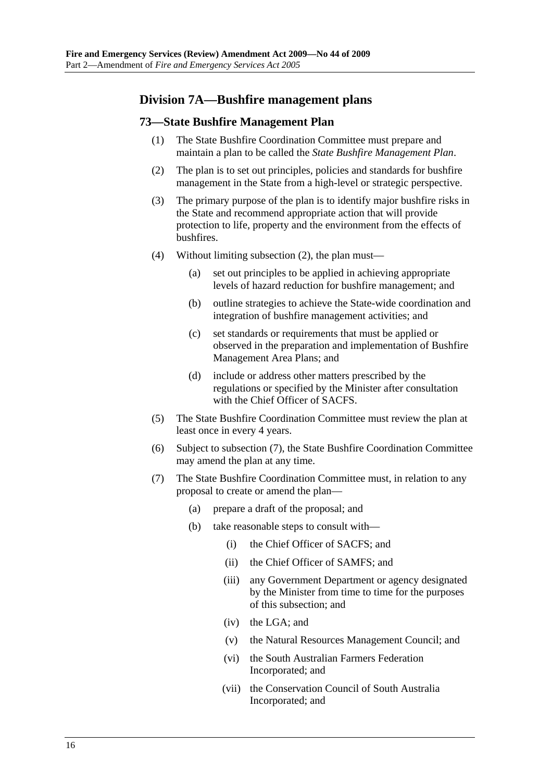## **Division 7A—Bushfire management plans**

#### **73—State Bushfire Management Plan**

- (1) The State Bushfire Coordination Committee must prepare and maintain a plan to be called the *State Bushfire Management Plan*.
- (2) The plan is to set out principles, policies and standards for bushfire management in the State from a high-level or strategic perspective.
- (3) The primary purpose of the plan is to identify major bushfire risks in the State and recommend appropriate action that will provide protection to life, property and the environment from the effects of bushfires.
- (4) Without limiting subsection (2), the plan must—
	- (a) set out principles to be applied in achieving appropriate levels of hazard reduction for bushfire management; and
	- (b) outline strategies to achieve the State-wide coordination and integration of bushfire management activities; and
	- (c) set standards or requirements that must be applied or observed in the preparation and implementation of Bushfire Management Area Plans; and
	- (d) include or address other matters prescribed by the regulations or specified by the Minister after consultation with the Chief Officer of SACFS.
- (5) The State Bushfire Coordination Committee must review the plan at least once in every 4 years.
- (6) Subject to subsection (7), the State Bushfire Coordination Committee may amend the plan at any time.
- (7) The State Bushfire Coordination Committee must, in relation to any proposal to create or amend the plan—
	- (a) prepare a draft of the proposal; and
	- (b) take reasonable steps to consult with—
		- (i) the Chief Officer of SACFS; and
		- (ii) the Chief Officer of SAMFS; and
		- (iii) any Government Department or agency designated by the Minister from time to time for the purposes of this subsection; and
		- (iv) the LGA; and
		- (v) the Natural Resources Management Council; and
		- (vi) the South Australian Farmers Federation Incorporated; and
		- (vii) the Conservation Council of South Australia Incorporated; and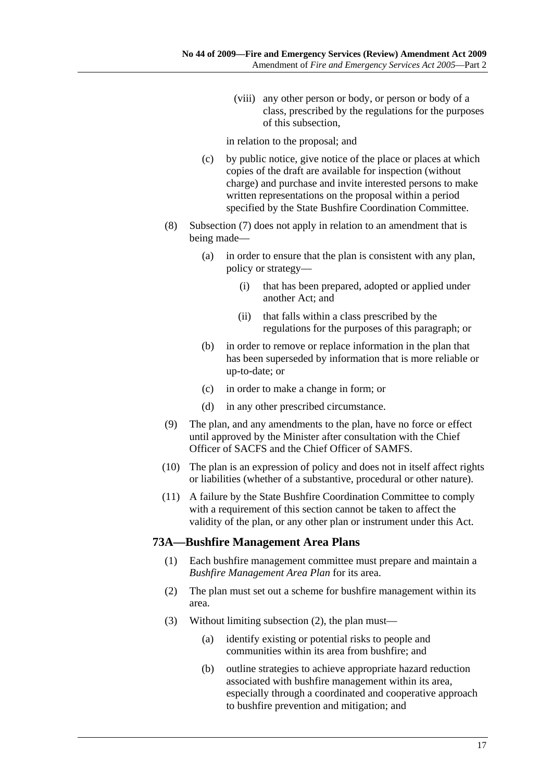(viii) any other person or body, or person or body of a class, prescribed by the regulations for the purposes of this subsection,

in relation to the proposal; and

- (c) by public notice, give notice of the place or places at which copies of the draft are available for inspection (without charge) and purchase and invite interested persons to make written representations on the proposal within a period specified by the State Bushfire Coordination Committee.
- (8) Subsection (7) does not apply in relation to an amendment that is being made—
	- (a) in order to ensure that the plan is consistent with any plan, policy or strategy—
		- (i) that has been prepared, adopted or applied under another Act; and
		- (ii) that falls within a class prescribed by the regulations for the purposes of this paragraph; or
	- (b) in order to remove or replace information in the plan that has been superseded by information that is more reliable or up-to-date; or
	- (c) in order to make a change in form; or
	- (d) in any other prescribed circumstance.
- (9) The plan, and any amendments to the plan, have no force or effect until approved by the Minister after consultation with the Chief Officer of SACFS and the Chief Officer of SAMFS.
- (10) The plan is an expression of policy and does not in itself affect rights or liabilities (whether of a substantive, procedural or other nature).
- (11) A failure by the State Bushfire Coordination Committee to comply with a requirement of this section cannot be taken to affect the validity of the plan, or any other plan or instrument under this Act.

#### **73A—Bushfire Management Area Plans**

- (1) Each bushfire management committee must prepare and maintain a *Bushfire Management Area Plan* for its area.
- (2) The plan must set out a scheme for bushfire management within its area.
- (3) Without limiting subsection (2), the plan must—
	- (a) identify existing or potential risks to people and communities within its area from bushfire; and
	- (b) outline strategies to achieve appropriate hazard reduction associated with bushfire management within its area, especially through a coordinated and cooperative approach to bushfire prevention and mitigation; and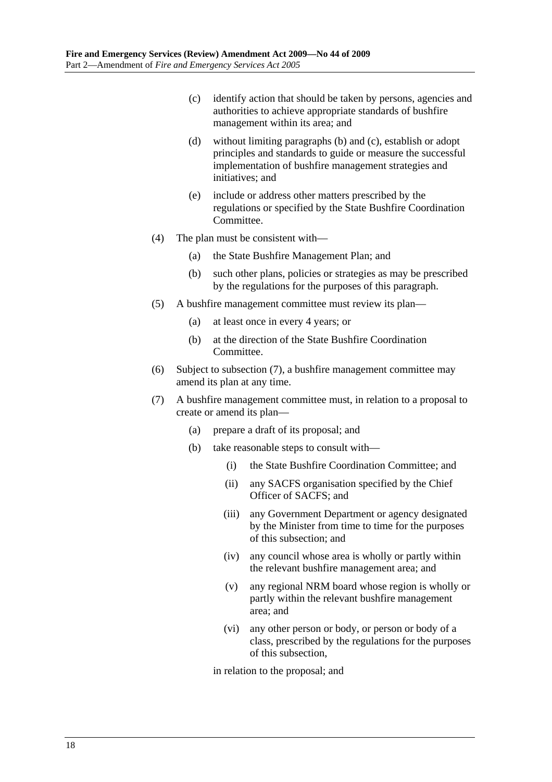- (c) identify action that should be taken by persons, agencies and authorities to achieve appropriate standards of bushfire management within its area; and
- (d) without limiting paragraphs (b) and (c), establish or adopt principles and standards to guide or measure the successful implementation of bushfire management strategies and initiatives; and
- (e) include or address other matters prescribed by the regulations or specified by the State Bushfire Coordination Committee.
- (4) The plan must be consistent with—
	- (a) the State Bushfire Management Plan; and
	- (b) such other plans, policies or strategies as may be prescribed by the regulations for the purposes of this paragraph.
- (5) A bushfire management committee must review its plan—
	- (a) at least once in every 4 years; or
	- (b) at the direction of the State Bushfire Coordination Committee.
- (6) Subject to subsection (7), a bushfire management committee may amend its plan at any time.
- (7) A bushfire management committee must, in relation to a proposal to create or amend its plan—
	- (a) prepare a draft of its proposal; and
	- (b) take reasonable steps to consult with—
		- (i) the State Bushfire Coordination Committee; and
		- (ii) any SACFS organisation specified by the Chief Officer of SACFS; and
		- (iii) any Government Department or agency designated by the Minister from time to time for the purposes of this subsection; and
		- (iv) any council whose area is wholly or partly within the relevant bushfire management area; and
		- (v) any regional NRM board whose region is wholly or partly within the relevant bushfire management area; and
		- (vi) any other person or body, or person or body of a class, prescribed by the regulations for the purposes of this subsection,

in relation to the proposal; and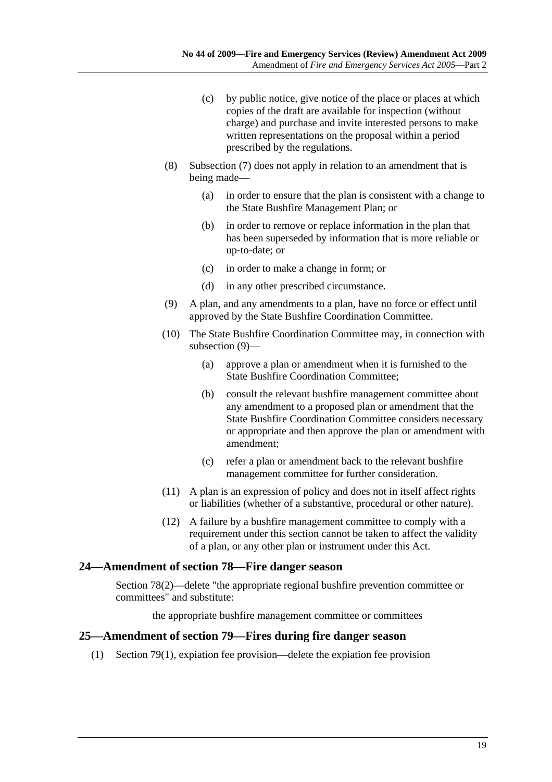- (c) by public notice, give notice of the place or places at which copies of the draft are available for inspection (without charge) and purchase and invite interested persons to make written representations on the proposal within a period prescribed by the regulations.
- (8) Subsection (7) does not apply in relation to an amendment that is being made—
	- (a) in order to ensure that the plan is consistent with a change to the State Bushfire Management Plan; or
	- (b) in order to remove or replace information in the plan that has been superseded by information that is more reliable or up-to-date; or
	- (c) in order to make a change in form; or
	- (d) in any other prescribed circumstance.
- (9) A plan, and any amendments to a plan, have no force or effect until approved by the State Bushfire Coordination Committee.
- (10) The State Bushfire Coordination Committee may, in connection with subsection (9)—
	- (a) approve a plan or amendment when it is furnished to the State Bushfire Coordination Committee;
	- (b) consult the relevant bushfire management committee about any amendment to a proposed plan or amendment that the State Bushfire Coordination Committee considers necessary or appropriate and then approve the plan or amendment with amendment;
	- (c) refer a plan or amendment back to the relevant bushfire management committee for further consideration.
- (11) A plan is an expression of policy and does not in itself affect rights or liabilities (whether of a substantive, procedural or other nature).
- (12) A failure by a bushfire management committee to comply with a requirement under this section cannot be taken to affect the validity of a plan, or any other plan or instrument under this Act.

#### **24—Amendment of section 78—Fire danger season**

Section 78(2)—delete "the appropriate regional bushfire prevention committee or committees" and substitute:

the appropriate bushfire management committee or committees

#### **25—Amendment of section 79—Fires during fire danger season**

(1) Section 79(1), expiation fee provision—delete the expiation fee provision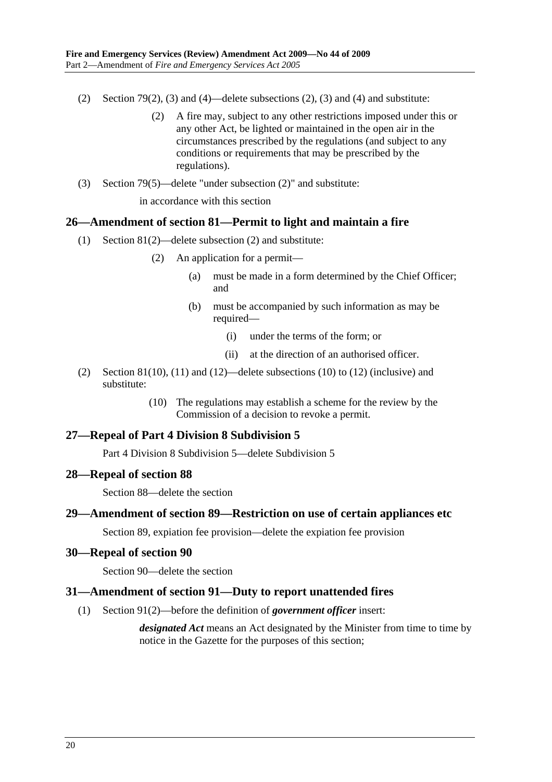- (2) Section 79(2), (3) and (4)—delete subsections (2), (3) and (4) and substitute:
	- (2) A fire may, subject to any other restrictions imposed under this or any other Act, be lighted or maintained in the open air in the circumstances prescribed by the regulations (and subject to any conditions or requirements that may be prescribed by the regulations).
- (3) Section 79(5)—delete "under subsection (2)" and substitute:

in accordance with this section

#### **26—Amendment of section 81—Permit to light and maintain a fire**

- (1) Section 81(2)—delete subsection (2) and substitute:
	- (2) An application for a permit—
		- (a) must be made in a form determined by the Chief Officer; and
		- (b) must be accompanied by such information as may be required—
			- (i) under the terms of the form; or
			- (ii) at the direction of an authorised officer.
- (2) Section 81(10), (11) and (12)—delete subsections (10) to (12) (inclusive) and substitute:
	- (10) The regulations may establish a scheme for the review by the Commission of a decision to revoke a permit.

#### **27—Repeal of Part 4 Division 8 Subdivision 5**

Part 4 Division 8 Subdivision 5—delete Subdivision 5

#### **28—Repeal of section 88**

Section 88—delete the section

#### **29—Amendment of section 89—Restriction on use of certain appliances etc**

Section 89, expiation fee provision—delete the expiation fee provision

#### **30—Repeal of section 90**

Section 90—delete the section

#### **31—Amendment of section 91—Duty to report unattended fires**

(1) Section 91(2)—before the definition of *government officer* insert:

*designated Act* means an Act designated by the Minister from time to time by notice in the Gazette for the purposes of this section;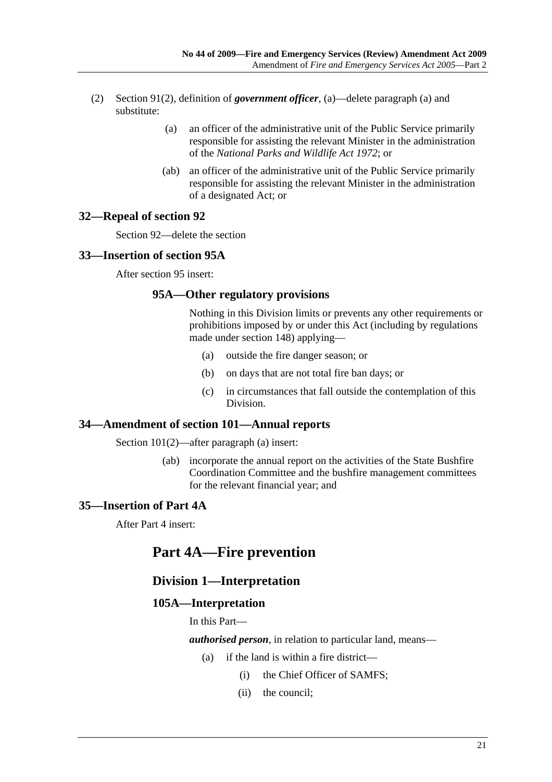- (2) Section 91(2), definition of *government officer*, (a)—delete paragraph (a) and substitute:
	- (a) an officer of the administrative unit of the Public Service primarily responsible for assisting the relevant Minister in the administration of the *National Parks and Wildlife Act 1972*; or
	- (ab) an officer of the administrative unit of the Public Service primarily responsible for assisting the relevant Minister in the administration of a designated Act; or

#### **32—Repeal of section 92**

Section 92—delete the section

#### **33—Insertion of section 95A**

After section 95 insert:

#### **95A—Other regulatory provisions**

Nothing in this Division limits or prevents any other requirements or prohibitions imposed by or under this Act (including by regulations made under section 148) applying—

- (a) outside the fire danger season; or
- (b) on days that are not total fire ban days; or
- (c) in circumstances that fall outside the contemplation of this Division.

#### **34—Amendment of section 101—Annual reports**

Section 101(2)—after paragraph (a) insert:

 (ab) incorporate the annual report on the activities of the State Bushfire Coordination Committee and the bushfire management committees for the relevant financial year; and

## **35—Insertion of Part 4A**

After Part 4 insert:

## **Part 4A—Fire prevention**

## **Division 1—Interpretation**

#### **105A—Interpretation**

In this Part—

*authorised person*, in relation to particular land, means—

- (a) if the land is within a fire district—
	- (i) the Chief Officer of SAMFS;
	- (ii) the council;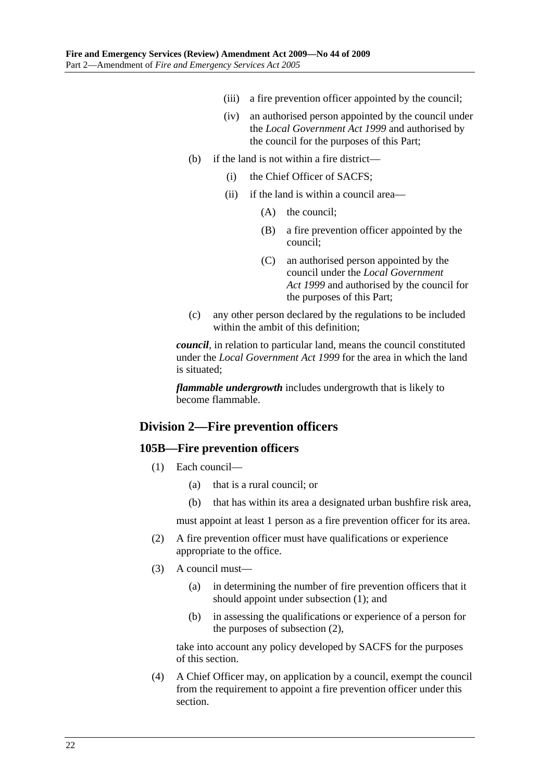- (iii) a fire prevention officer appointed by the council;
- (iv) an authorised person appointed by the council under the *Local Government Act 1999* and authorised by the council for the purposes of this Part;
- (b) if the land is not within a fire district—
	- (i) the Chief Officer of SACFS;
	- (ii) if the land is within a council area—
		- (A) the council;
		- (B) a fire prevention officer appointed by the council;
		- (C) an authorised person appointed by the council under the *Local Government Act 1999* and authorised by the council for the purposes of this Part;
- (c) any other person declared by the regulations to be included within the ambit of this definition;

*council*, in relation to particular land, means the council constituted under the *Local Government Act 1999* for the area in which the land is situated;

*flammable undergrowth* includes undergrowth that is likely to become flammable.

## **Division 2—Fire prevention officers**

#### **105B—Fire prevention officers**

- (1) Each council—
	- (a) that is a rural council; or
	- (b) that has within its area a designated urban bushfire risk area,

must appoint at least 1 person as a fire prevention officer for its area.

- (2) A fire prevention officer must have qualifications or experience appropriate to the office.
- (3) A council must—
	- (a) in determining the number of fire prevention officers that it should appoint under subsection (1); and
	- (b) in assessing the qualifications or experience of a person for the purposes of subsection (2),

take into account any policy developed by SACFS for the purposes of this section.

 (4) A Chief Officer may, on application by a council, exempt the council from the requirement to appoint a fire prevention officer under this section.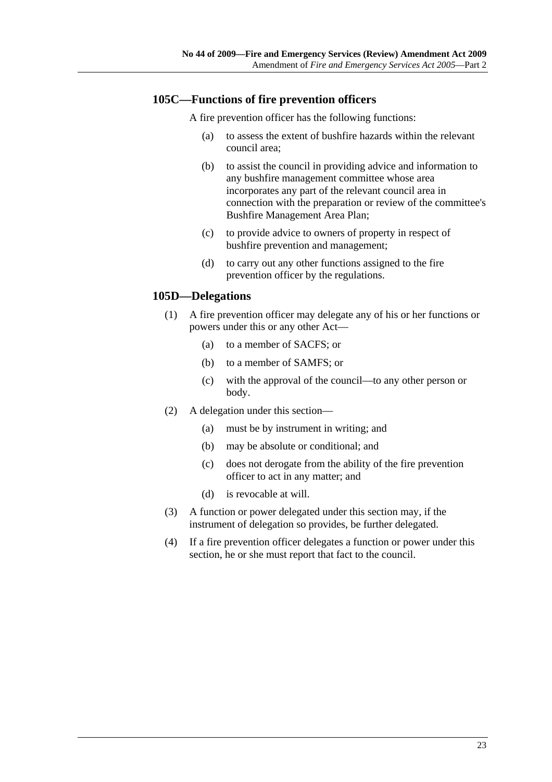## **105C—Functions of fire prevention officers**

A fire prevention officer has the following functions:

- (a) to assess the extent of bushfire hazards within the relevant council area;
- (b) to assist the council in providing advice and information to any bushfire management committee whose area incorporates any part of the relevant council area in connection with the preparation or review of the committee's Bushfire Management Area Plan;
- (c) to provide advice to owners of property in respect of bushfire prevention and management;
- (d) to carry out any other functions assigned to the fire prevention officer by the regulations.

### **105D—Delegations**

- (1) A fire prevention officer may delegate any of his or her functions or powers under this or any other Act—
	- (a) to a member of SACFS; or
	- (b) to a member of SAMFS; or
	- (c) with the approval of the council—to any other person or body.
- (2) A delegation under this section—
	- (a) must be by instrument in writing; and
	- (b) may be absolute or conditional; and
	- (c) does not derogate from the ability of the fire prevention officer to act in any matter; and
	- (d) is revocable at will.
- (3) A function or power delegated under this section may, if the instrument of delegation so provides, be further delegated.
- (4) If a fire prevention officer delegates a function or power under this section, he or she must report that fact to the council.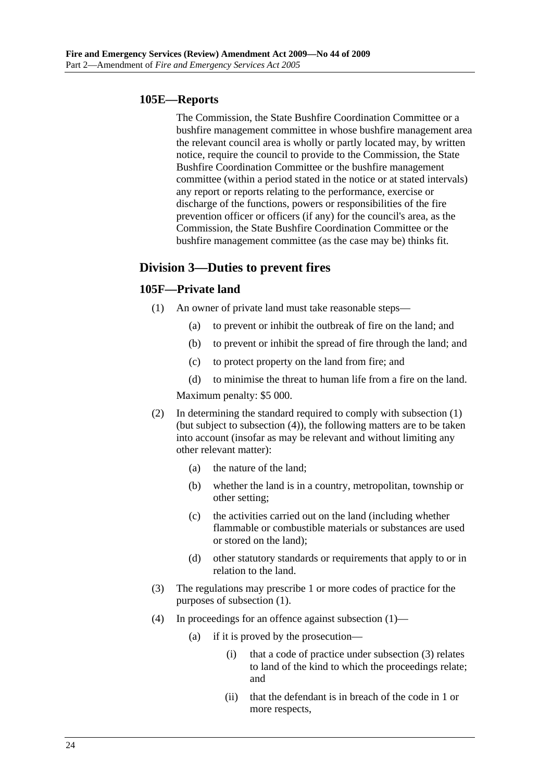### **105E—Reports**

The Commission, the State Bushfire Coordination Committee or a bushfire management committee in whose bushfire management area the relevant council area is wholly or partly located may, by written notice, require the council to provide to the Commission, the State Bushfire Coordination Committee or the bushfire management committee (within a period stated in the notice or at stated intervals) any report or reports relating to the performance, exercise or discharge of the functions, powers or responsibilities of the fire prevention officer or officers (if any) for the council's area, as the Commission, the State Bushfire Coordination Committee or the bushfire management committee (as the case may be) thinks fit.

## **Division 3—Duties to prevent fires**

## **105F—Private land**

- (1) An owner of private land must take reasonable steps—
	- (a) to prevent or inhibit the outbreak of fire on the land; and
	- (b) to prevent or inhibit the spread of fire through the land; and
	- (c) to protect property on the land from fire; and

 (d) to minimise the threat to human life from a fire on the land. Maximum penalty: \$5 000.

- (2) In determining the standard required to comply with subsection (1) (but subject to subsection (4)), the following matters are to be taken into account (insofar as may be relevant and without limiting any other relevant matter):
	- (a) the nature of the land;
	- (b) whether the land is in a country, metropolitan, township or other setting;
	- (c) the activities carried out on the land (including whether flammable or combustible materials or substances are used or stored on the land);
	- (d) other statutory standards or requirements that apply to or in relation to the land.
- (3) The regulations may prescribe 1 or more codes of practice for the purposes of subsection (1).
- (4) In proceedings for an offence against subsection (1)—
	- (a) if it is proved by the prosecution—
		- (i) that a code of practice under subsection (3) relates to land of the kind to which the proceedings relate; and
		- (ii) that the defendant is in breach of the code in 1 or more respects,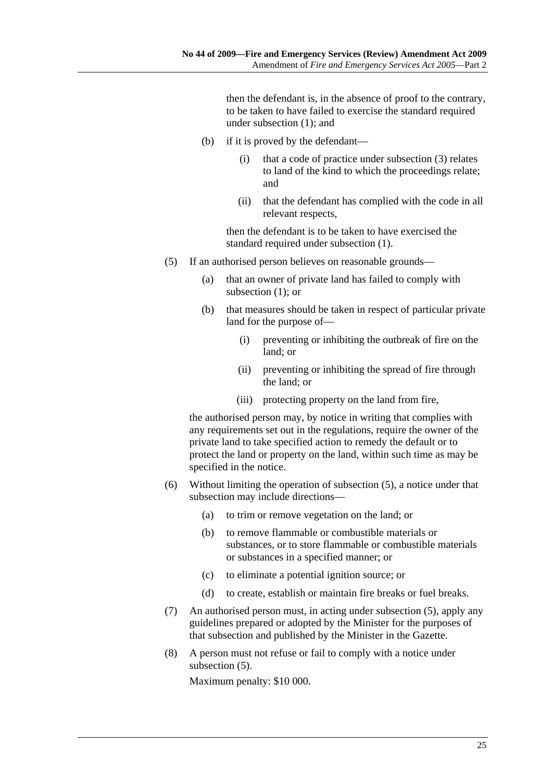then the defendant is, in the absence of proof to the contrary, to be taken to have failed to exercise the standard required under subsection (1); and

- (b) if it is proved by the defendant—
	- (i) that a code of practice under subsection (3) relates to land of the kind to which the proceedings relate; and
	- (ii) that the defendant has complied with the code in all relevant respects,

then the defendant is to be taken to have exercised the standard required under subsection (1).

- (5) If an authorised person believes on reasonable grounds—
	- (a) that an owner of private land has failed to comply with subsection (1); or
	- (b) that measures should be taken in respect of particular private land for the purpose of—
		- (i) preventing or inhibiting the outbreak of fire on the land; or
		- (ii) preventing or inhibiting the spread of fire through the land; or
		- (iii) protecting property on the land from fire,

the authorised person may, by notice in writing that complies with any requirements set out in the regulations, require the owner of the private land to take specified action to remedy the default or to protect the land or property on the land, within such time as may be specified in the notice.

- (6) Without limiting the operation of subsection (5), a notice under that subsection may include directions—
	- (a) to trim or remove vegetation on the land; or
	- (b) to remove flammable or combustible materials or substances, or to store flammable or combustible materials or substances in a specified manner; or
	- (c) to eliminate a potential ignition source; or
	- (d) to create, establish or maintain fire breaks or fuel breaks.
- (7) An authorised person must, in acting under subsection (5), apply any guidelines prepared or adopted by the Minister for the purposes of that subsection and published by the Minister in the Gazette.
- (8) A person must not refuse or fail to comply with a notice under subsection (5).

Maximum penalty: \$10 000.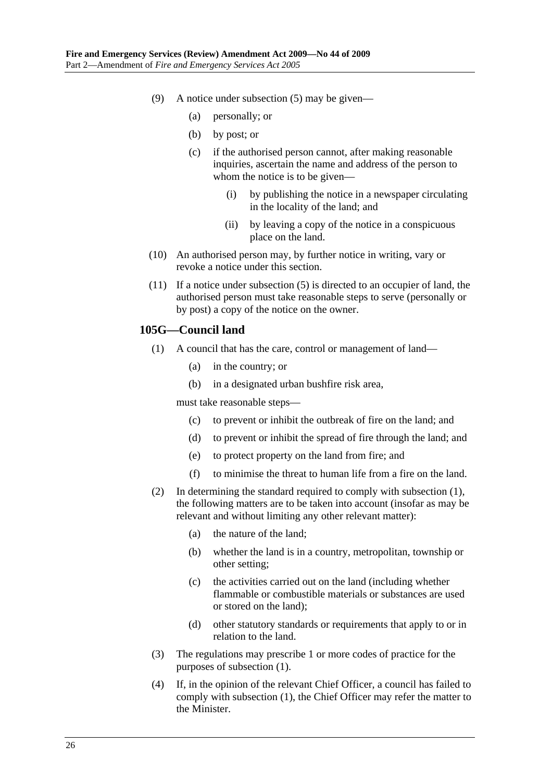- (9) A notice under subsection (5) may be given—
	- (a) personally; or
	- (b) by post; or
	- (c) if the authorised person cannot, after making reasonable inquiries, ascertain the name and address of the person to whom the notice is to be given—
		- (i) by publishing the notice in a newspaper circulating in the locality of the land; and
		- (ii) by leaving a copy of the notice in a conspicuous place on the land.
- (10) An authorised person may, by further notice in writing, vary or revoke a notice under this section.
- (11) If a notice under subsection (5) is directed to an occupier of land, the authorised person must take reasonable steps to serve (personally or by post) a copy of the notice on the owner.

### **105G—Council land**

- (1) A council that has the care, control or management of land—
	- (a) in the country; or
	- (b) in a designated urban bushfire risk area,

must take reasonable steps—

- (c) to prevent or inhibit the outbreak of fire on the land; and
- (d) to prevent or inhibit the spread of fire through the land; and
- (e) to protect property on the land from fire; and
- (f) to minimise the threat to human life from a fire on the land.
- (2) In determining the standard required to comply with subsection (1), the following matters are to be taken into account (insofar as may be relevant and without limiting any other relevant matter):
	- (a) the nature of the land;
	- (b) whether the land is in a country, metropolitan, township or other setting;
	- (c) the activities carried out on the land (including whether flammable or combustible materials or substances are used or stored on the land);
	- (d) other statutory standards or requirements that apply to or in relation to the land.
- (3) The regulations may prescribe 1 or more codes of practice for the purposes of subsection (1).
- (4) If, in the opinion of the relevant Chief Officer, a council has failed to comply with subsection (1), the Chief Officer may refer the matter to the Minister.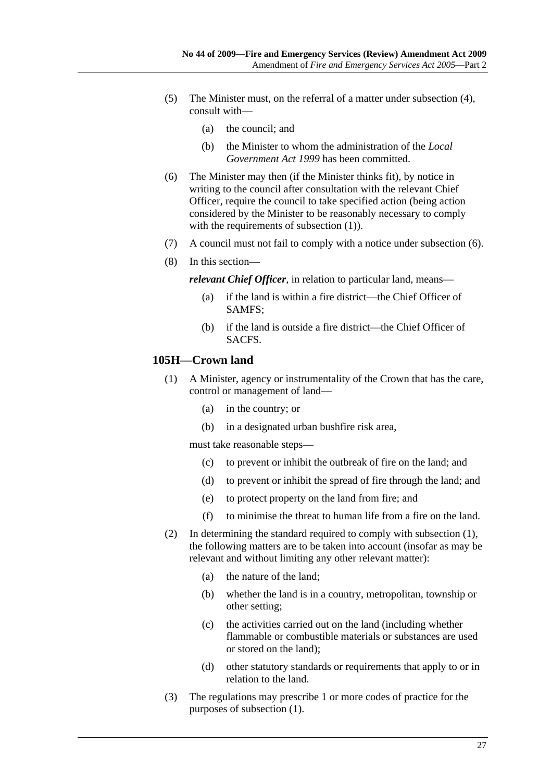- (5) The Minister must, on the referral of a matter under subsection (4), consult with—
	- (a) the council; and
	- (b) the Minister to whom the administration of the *Local Government Act 1999* has been committed.
- (6) The Minister may then (if the Minister thinks fit), by notice in writing to the council after consultation with the relevant Chief Officer, require the council to take specified action (being action considered by the Minister to be reasonably necessary to comply with the requirements of subsection (1)).
- (7) A council must not fail to comply with a notice under subsection (6).
- (8) In this section—

*relevant Chief Officer*, in relation to particular land, means—

- (a) if the land is within a fire district—the Chief Officer of SAMFS;
- (b) if the land is outside a fire district—the Chief Officer of SACFS.

#### **105H—Crown land**

- (1) A Minister, agency or instrumentality of the Crown that has the care, control or management of land—
	- (a) in the country; or
	- (b) in a designated urban bushfire risk area,

must take reasonable steps—

- (c) to prevent or inhibit the outbreak of fire on the land; and
- (d) to prevent or inhibit the spread of fire through the land; and
- (e) to protect property on the land from fire; and
- (f) to minimise the threat to human life from a fire on the land.
- (2) In determining the standard required to comply with subsection (1), the following matters are to be taken into account (insofar as may be relevant and without limiting any other relevant matter):
	- (a) the nature of the land;
	- (b) whether the land is in a country, metropolitan, township or other setting;
	- (c) the activities carried out on the land (including whether flammable or combustible materials or substances are used or stored on the land);
	- (d) other statutory standards or requirements that apply to or in relation to the land.
- (3) The regulations may prescribe 1 or more codes of practice for the purposes of subsection (1).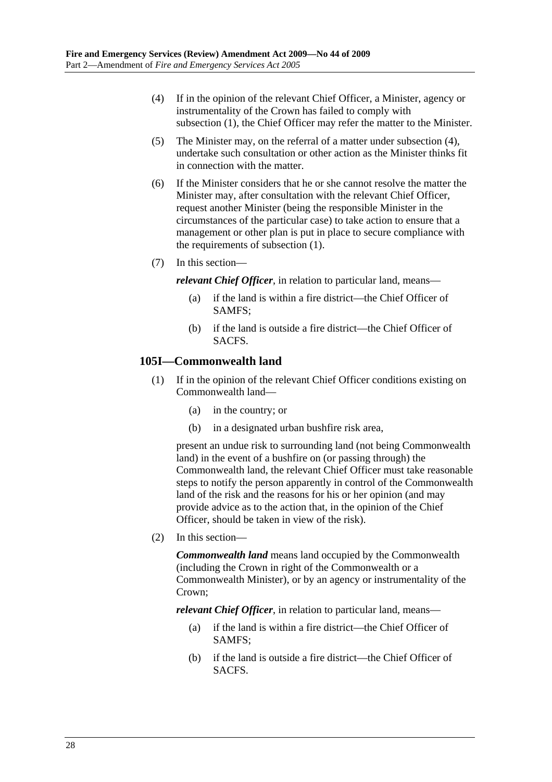- (4) If in the opinion of the relevant Chief Officer, a Minister, agency or instrumentality of the Crown has failed to comply with subsection (1), the Chief Officer may refer the matter to the Minister.
- (5) The Minister may, on the referral of a matter under subsection (4), undertake such consultation or other action as the Minister thinks fit in connection with the matter.
- (6) If the Minister considers that he or she cannot resolve the matter the Minister may, after consultation with the relevant Chief Officer, request another Minister (being the responsible Minister in the circumstances of the particular case) to take action to ensure that a management or other plan is put in place to secure compliance with the requirements of subsection (1).
- (7) In this section—

*relevant Chief Officer*, in relation to particular land, means—

- (a) if the land is within a fire district—the Chief Officer of SAMFS;
- (b) if the land is outside a fire district—the Chief Officer of SACFS.

#### **105I—Commonwealth land**

- (1) If in the opinion of the relevant Chief Officer conditions existing on Commonwealth land—
	- (a) in the country; or
	- (b) in a designated urban bushfire risk area,

present an undue risk to surrounding land (not being Commonwealth land) in the event of a bushfire on (or passing through) the Commonwealth land, the relevant Chief Officer must take reasonable steps to notify the person apparently in control of the Commonwealth land of the risk and the reasons for his or her opinion (and may provide advice as to the action that, in the opinion of the Chief Officer, should be taken in view of the risk).

(2) In this section—

*Commonwealth land* means land occupied by the Commonwealth (including the Crown in right of the Commonwealth or a Commonwealth Minister), or by an agency or instrumentality of the Crown;

*relevant Chief Officer*, in relation to particular land, means—

- (a) if the land is within a fire district—the Chief Officer of SAMFS;
- (b) if the land is outside a fire district—the Chief Officer of **SACES**.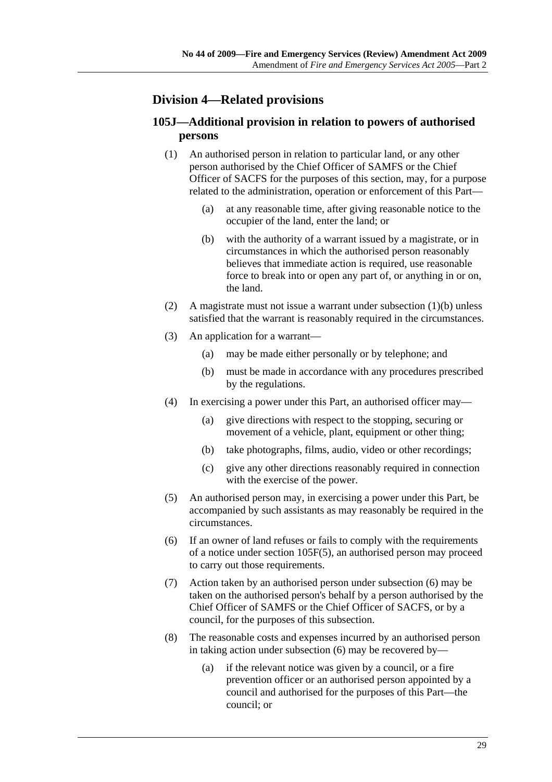## **Division 4—Related provisions**

## **105J—Additional provision in relation to powers of authorised persons**

- (1) An authorised person in relation to particular land, or any other person authorised by the Chief Officer of SAMFS or the Chief Officer of SACFS for the purposes of this section, may, for a purpose related to the administration, operation or enforcement of this Part—
	- (a) at any reasonable time, after giving reasonable notice to the occupier of the land, enter the land; or
	- (b) with the authority of a warrant issued by a magistrate, or in circumstances in which the authorised person reasonably believes that immediate action is required, use reasonable force to break into or open any part of, or anything in or on, the land.
- (2) A magistrate must not issue a warrant under subsection (1)(b) unless satisfied that the warrant is reasonably required in the circumstances.
- (3) An application for a warrant—
	- (a) may be made either personally or by telephone; and
	- (b) must be made in accordance with any procedures prescribed by the regulations.
- (4) In exercising a power under this Part, an authorised officer may—
	- (a) give directions with respect to the stopping, securing or movement of a vehicle, plant, equipment or other thing;
	- (b) take photographs, films, audio, video or other recordings;
	- (c) give any other directions reasonably required in connection with the exercise of the power.
- (5) An authorised person may, in exercising a power under this Part, be accompanied by such assistants as may reasonably be required in the circumstances.
- (6) If an owner of land refuses or fails to comply with the requirements of a notice under section 105F(5), an authorised person may proceed to carry out those requirements.
- (7) Action taken by an authorised person under subsection (6) may be taken on the authorised person's behalf by a person authorised by the Chief Officer of SAMFS or the Chief Officer of SACFS, or by a council, for the purposes of this subsection.
- (8) The reasonable costs and expenses incurred by an authorised person in taking action under subsection (6) may be recovered by—
	- (a) if the relevant notice was given by a council, or a fire prevention officer or an authorised person appointed by a council and authorised for the purposes of this Part—the council; or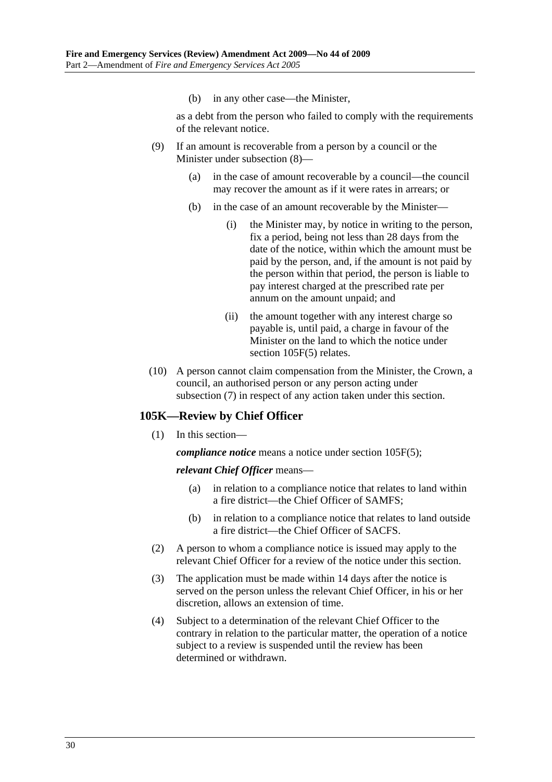(b) in any other case—the Minister,

as a debt from the person who failed to comply with the requirements of the relevant notice.

- (9) If an amount is recoverable from a person by a council or the Minister under subsection (8)—
	- (a) in the case of amount recoverable by a council—the council may recover the amount as if it were rates in arrears; or
	- (b) in the case of an amount recoverable by the Minister—
		- (i) the Minister may, by notice in writing to the person, fix a period, being not less than 28 days from the date of the notice, within which the amount must be paid by the person, and, if the amount is not paid by the person within that period, the person is liable to pay interest charged at the prescribed rate per annum on the amount unpaid; and
		- (ii) the amount together with any interest charge so payable is, until paid, a charge in favour of the Minister on the land to which the notice under section 105F(5) relates.
- (10) A person cannot claim compensation from the Minister, the Crown, a council, an authorised person or any person acting under subsection (7) in respect of any action taken under this section.

#### **105K—Review by Chief Officer**

(1) In this section—

*compliance notice* means a notice under section 105F(5);

#### *relevant Chief Officer* means—

- (a) in relation to a compliance notice that relates to land within a fire district—the Chief Officer of SAMFS;
- (b) in relation to a compliance notice that relates to land outside a fire district—the Chief Officer of SACFS.
- (2) A person to whom a compliance notice is issued may apply to the relevant Chief Officer for a review of the notice under this section.
- (3) The application must be made within 14 days after the notice is served on the person unless the relevant Chief Officer, in his or her discretion, allows an extension of time.
- (4) Subject to a determination of the relevant Chief Officer to the contrary in relation to the particular matter, the operation of a notice subject to a review is suspended until the review has been determined or withdrawn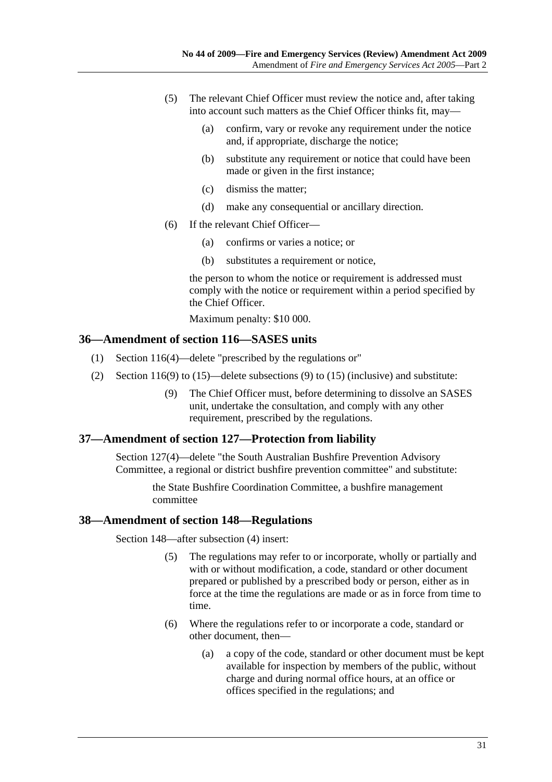- (5) The relevant Chief Officer must review the notice and, after taking into account such matters as the Chief Officer thinks fit, may—
	- (a) confirm, vary or revoke any requirement under the notice and, if appropriate, discharge the notice;
	- (b) substitute any requirement or notice that could have been made or given in the first instance;
	- (c) dismiss the matter;
	- (d) make any consequential or ancillary direction.
- (6) If the relevant Chief Officer—
	- (a) confirms or varies a notice; or
	- (b) substitutes a requirement or notice,

the person to whom the notice or requirement is addressed must comply with the notice or requirement within a period specified by the Chief Officer.

Maximum penalty: \$10 000.

#### **36—Amendment of section 116—SASES units**

- (1) Section 116(4)—delete "prescribed by the regulations or"
- (2) Section 116(9) to (15)—delete subsections (9) to (15) (inclusive) and substitute:
	- (9) The Chief Officer must, before determining to dissolve an SASES unit, undertake the consultation, and comply with any other requirement, prescribed by the regulations.

#### **37—Amendment of section 127—Protection from liability**

Section 127(4)—delete "the South Australian Bushfire Prevention Advisory Committee, a regional or district bushfire prevention committee" and substitute:

> the State Bushfire Coordination Committee, a bushfire management committee

#### **38—Amendment of section 148—Regulations**

Section 148—after subsection (4) insert:

- (5) The regulations may refer to or incorporate, wholly or partially and with or without modification, a code, standard or other document prepared or published by a prescribed body or person, either as in force at the time the regulations are made or as in force from time to time.
- (6) Where the regulations refer to or incorporate a code, standard or other document, then—
	- (a) a copy of the code, standard or other document must be kept available for inspection by members of the public, without charge and during normal office hours, at an office or offices specified in the regulations; and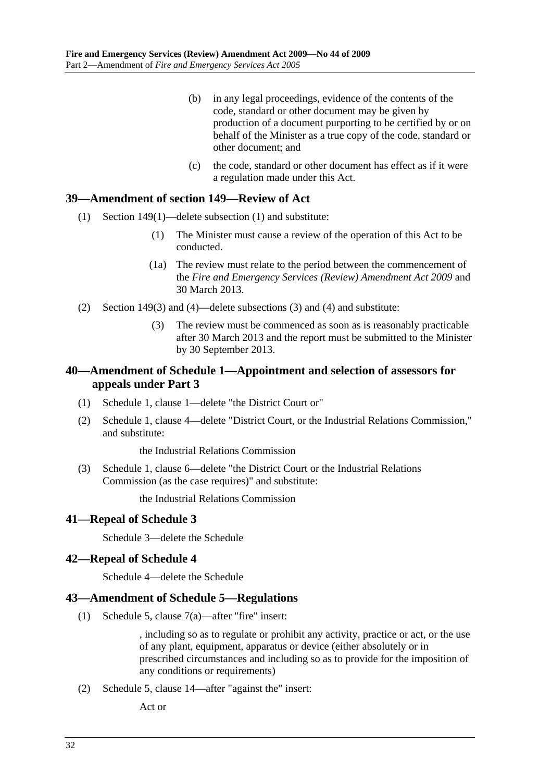- (b) in any legal proceedings, evidence of the contents of the code, standard or other document may be given by production of a document purporting to be certified by or on behalf of the Minister as a true copy of the code, standard or other document; and
- (c) the code, standard or other document has effect as if it were a regulation made under this Act.

### **39—Amendment of section 149—Review of Act**

- (1) Section 149(1)—delete subsection (1) and substitute:
	- (1) The Minister must cause a review of the operation of this Act to be conducted.
	- (1a) The review must relate to the period between the commencement of the *Fire and Emergency Services (Review) Amendment Act 2009* and 30 March 2013.
- (2) Section 149(3) and (4)—delete subsections (3) and (4) and substitute:
	- (3) The review must be commenced as soon as is reasonably practicable after 30 March 2013 and the report must be submitted to the Minister by 30 September 2013.

## **40—Amendment of Schedule 1—Appointment and selection of assessors for appeals under Part 3**

- (1) Schedule 1, clause 1—delete "the District Court or"
- (2) Schedule 1, clause 4—delete "District Court, or the Industrial Relations Commission," and substitute:

the Industrial Relations Commission

 (3) Schedule 1, clause 6—delete "the District Court or the Industrial Relations Commission (as the case requires)" and substitute:

the Industrial Relations Commission

## **41—Repeal of Schedule 3**

Schedule 3—delete the Schedule

## **42—Repeal of Schedule 4**

Schedule 4—delete the Schedule

#### **43—Amendment of Schedule 5—Regulations**

(1) Schedule 5, clause 7(a)—after "fire" insert:

, including so as to regulate or prohibit any activity, practice or act, or the use of any plant, equipment, apparatus or device (either absolutely or in prescribed circumstances and including so as to provide for the imposition of any conditions or requirements)

(2) Schedule 5, clause 14—after "against the" insert:

Act or